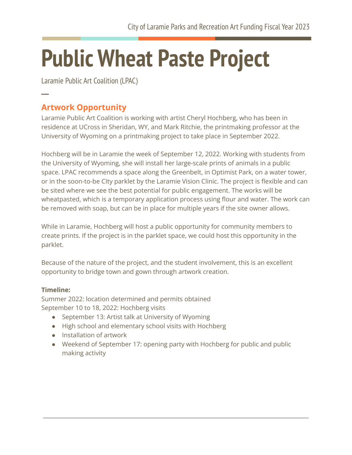## **Public Wheat Paste Project**

Laramie Public Art Coalition (LPAC)

## **Artwork Opportunity**

**─**

Laramie Public Art Coalition is working with artist Cheryl Hochberg, who has been in residence at UCross in Sheridan, WY, and Mark Ritchie, the printmaking professor at the University of Wyoming on a printmaking project to take place in September 2022.

Hochberg will be in Laramie the week of September 12, 2022. Working with students from the University of Wyoming, she will install her large-scale prints of animals in a public space. LPAC recommends a space along the Greenbelt, in Optimist Park, on a water tower, or in the soon-to-be CIty parklet by the Laramie Vision Clinic. The project is flexible and can be sited where we see the best potential for public engagement. The works will be wheatpasted, which is a temporary application process using flour and water. The work can be removed with soap, but can be in place for multiple years if the site owner allows.

While in Laramie, Hochberg will host a public opportunity for community members to create prints. If the project is in the parklet space, we could host this opportunity in the parklet.

Because of the nature of the project, and the student involvement, this is an excellent opportunity to bridge town and gown through artwork creation.

## **Timeline:**

Summer 2022: location determined and permits obtained September 10 to 18, 2022: Hochberg visits

- September 13: Artist talk at University of Wyoming
- High school and elementary school visits with Hochberg
- Installation of artwork
- Weekend of September 17: opening party with Hochberg for public and public making activity